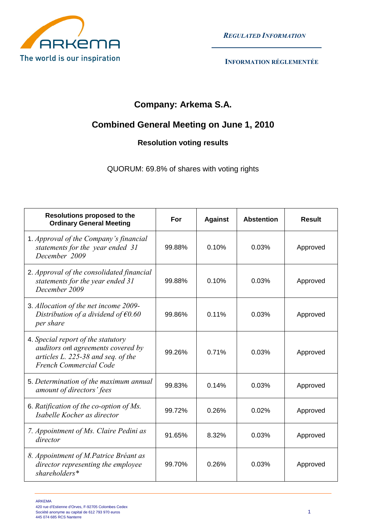

REGULATED INFORMATION

# **Company: Arkema S.A.**

## **Combined General Meeting on June 1, 2010**

### **Resolution voting results**

QUORUM: 69.8% of shares with voting rights

| <b>Resolutions proposed to the</b><br><b>Ordinary General Meeting</b>                                                                           | For    | <b>Against</b> | <b>Abstention</b> | Result   |
|-------------------------------------------------------------------------------------------------------------------------------------------------|--------|----------------|-------------------|----------|
| 1. Approval of the Company's financial<br>statements for the year ended 31<br>December 2009                                                     | 99.88% | 0.10%          | 0.03%             | Approved |
| 2. Approval of the consolidated financial<br>statements for the year ended 31<br>December 2009                                                  | 99.88% | 0.10%          | 0.03%             | Approved |
| 3. Allocation of the net income 2009-<br>Distribution of a dividend of $\epsilon$ 0.60<br>per share                                             | 99.86% | 0.11%          | 0.03%             | Approved |
| 4. Special report of the statutory<br>auditors onl agreements covered by<br>articles L. 225-38 and seq. of the<br><b>French Commercial Code</b> | 99.26% | 0.71%          | 0.03%             | Approved |
| 5. Determination of the maximum annual<br>amount of directors' fees                                                                             | 99.83% | 0.14%          | 0.03%             | Approved |
| 6. Ratification of the co-option of Ms.<br>Isabelle Kocher as director                                                                          | 99.72% | 0.26%          | 0.02%             | Approved |
| 7. Appointment of Ms. Claire Pedini as<br>director                                                                                              | 91.65% | 8.32%          | 0.03%             | Approved |
| 8. Appointment of M.Patrice Bréant as<br>director representing the employee<br>shareholders*                                                    | 99.70% | 0.26%          | 0.03%             | Approved |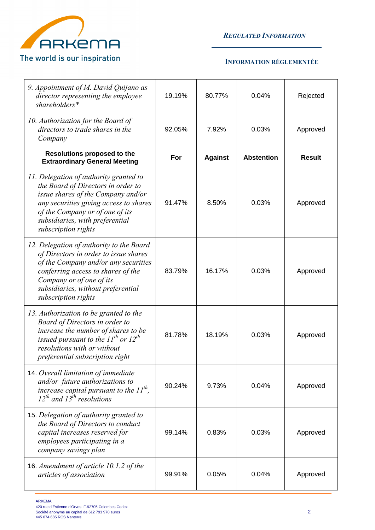

REGULATED INFORMATION

| 9. Appointment of M. David Quijano as<br>director representing the employee<br>shareholders*                                                                                                                                                              | 19.19% | 80.77%         | 0.04%             | Rejected      |
|-----------------------------------------------------------------------------------------------------------------------------------------------------------------------------------------------------------------------------------------------------------|--------|----------------|-------------------|---------------|
| 10. Authorization for the Board of<br>directors to trade shares in the<br>Company                                                                                                                                                                         | 92.05% | 7.92%          | 0.03%             | Approved      |
| Resolutions proposed to the<br><b>Extraordinary General Meeting</b>                                                                                                                                                                                       | For    | <b>Against</b> | <b>Abstention</b> | <b>Result</b> |
| 11. Delegation of authority granted to<br>the Board of Directors in order to<br>issue shares of the Company and/or<br>any securities giving access to shares<br>of the Company or of one of its<br>subsidiaries, with preferential<br>subscription rights | 91.47% | 8.50%          | 0.03%             | Approved      |
| 12. Delegation of authority to the Board<br>of Directors in order to issue shares<br>of the Company and/or any securities<br>conferring access to shares of the<br>Company or of one of its<br>subsidiaries, without preferential<br>subscription rights  | 83.79% | 16.17%         | 0.03%             | Approved      |
| 13. Authorization to be granted to the<br>Board of Directors in order to<br>increase the number of shares to be<br>issued pursuant to the $11^{th}$ or $12^{th}$<br>resolutions with or without<br>preferential subscription right                        | 81.78% | 18.19%         | 0.03%             | Approved      |
| 14. Overall limitation of immediate<br>and/or future authorizations to<br>increase capital pursuant to the $11^{th}$ ,<br>$12^{th}$ and $13^{th}$ resolutions                                                                                             | 90.24% | 9.73%          | 0.04%             | Approved      |
| 15. Delegation of authority granted to<br>the Board of Directors to conduct<br>capital increases reserved for<br>employees participating in a<br>company savings plan                                                                                     | 99.14% | 0.83%          | 0.03%             | Approved      |
| 16. Amendment of article 10.1.2 of the<br>articles of association                                                                                                                                                                                         | 99.91% | 0.05%          | 0.04%             | Approved      |